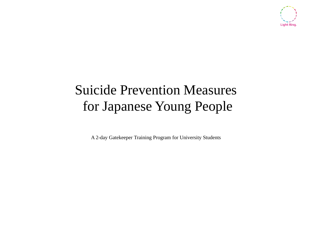

# Suicide Prevention Measures for Japanese Young People

A 2-day Gatekeeper Training Program for University Students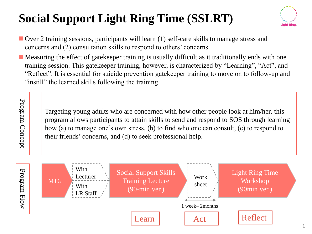# **Social Support Light Ring Time (SSLRT)**

Program Concept

Program Concept



- Over 2 training sessions, participants will learn (1) self-care skills to manage stress and concerns and (2) consultation skills to respond to others' concerns.
- $\blacksquare$  Measuring the effect of gatekeeper training is usually difficult as it traditionally ends with one training session. This gatekeeper training, however, is characterized by "Learning", "Act", and "Reflect". It is essential for suicide prevention gatekeeper training to move on to follow-up and "instill" the learned skills following the training.

Targeting young adults who are concerned with how other people look at him/her, this program allows participants to attain skills to send and respond to SOS through learning how (a) to manage one's own stress, (b) to find who one can consult, (c) to respond to their friends' concerns, and (d) to seek professional help.

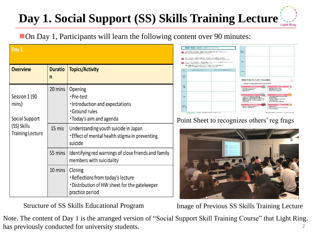#### **Day 1. Social Support (SS) Skills Training LectureLight Ring**

■ On Day 1, Participants will learn the following content over 90 minutes:

| Day 1                                                                              |                     |                                                                                                                                                                                          |
|------------------------------------------------------------------------------------|---------------------|------------------------------------------------------------------------------------------------------------------------------------------------------------------------------------------|
| <b>Overview</b>                                                                    | <b>Duratio</b><br>n | <b>Topics/Activity</b>                                                                                                                                                                   |
| Session 1 (90<br>mins)<br>Social Support<br>(SS) Skills<br><b>Training Lecture</b> | 20 mins<br>15 mis   | Opening<br>·Pre-test<br>Introduction and expectations<br>Ground rules<br>•Today's aim and agenda<br>Understanding youth suicide in Japan<br>Effect of mental health stigma in preventing |
|                                                                                    | 55 mins             | suicide<br>Identifying red warnings of close friends and family<br>members with suicidality                                                                                              |
|                                                                                    | 10 mins             | Closing<br>Reflections from today's lecture<br>• Distribution of HW sheet for the gatekeeper<br>practice period                                                                          |

Structure of SS Skills Educational Program

● だれか特定の1名を選び、異変に気付いた場面を置り返ってみましょう。<br>■ 置について考えるかを下に記入してください。 食生活· Cいるときはコンピニで買ってき)<br>E親より早く起きることが多くな 周囲の不調のサインで、つけっかが観点 不調のサイズ早みに気付けるとうたる

## Point Sheet to recognizes others' reg frags



Image of Previous SS Skills Training Lecture

2

Note. The content of Day 1 is the arranged version of "Social Support Skill Training Course" that Light Ring. has previously conducted for university students.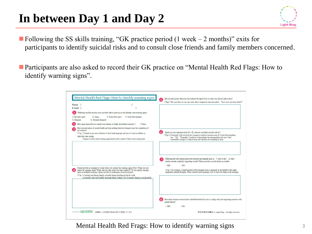## **In between Day 1 and Day 2**

 $\blacksquare$  Following the SS skills training, "GK practice period (1 week – 2 months)" exits for participants to identify suicidal risks and to consult close friends and family members concerned.

■ Participants are also asked to record their GK practice on "Mental Health Red Flags: How to identify warning signs".

| Name (                                                                        |                                                                                                                                                                                                                                                                                            | $\overline{5}$<br>(E.g.) The next time we ran into each other I stopped to chat and asked, "how have you been lately?"                                                                                                                                                                                                                                                                                                          |
|-------------------------------------------------------------------------------|--------------------------------------------------------------------------------------------------------------------------------------------------------------------------------------------------------------------------------------------------------------------------------------------|---------------------------------------------------------------------------------------------------------------------------------------------------------------------------------------------------------------------------------------------------------------------------------------------------------------------------------------------------------------------------------------------------------------------------------|
| $E$ -mail $($                                                                 |                                                                                                                                                                                                                                                                                            |                                                                                                                                                                                                                                                                                                                                                                                                                                 |
|                                                                               | Following the first session, have you been able to pick up on and identify some warning signs?                                                                                                                                                                                             |                                                                                                                                                                                                                                                                                                                                                                                                                                 |
| 1. Strongly agree<br>2. Agree<br>5. Disagree<br>6. Strongly disagree          | 3. Somewhat agree<br>4. Somewhat disagree                                                                                                                                                                                                                                                  |                                                                                                                                                                                                                                                                                                                                                                                                                                 |
| How many times did you consult your friends or family about their concerns? ( | ) Times                                                                                                                                                                                                                                                                                    |                                                                                                                                                                                                                                                                                                                                                                                                                                 |
| the seminar?<br>what they were saving                                         | Has your perception of mental health and help-seeking behavior changed since the completion of<br>(E.g.) I started to pay more attention to their body language and tone of voice in addition to<br>I began to notice small warning signs based on the content of their social media posts | Based on your responses from $\mathbb{D} \sim \mathbb{G}$ , what do you think you did well in?<br>(E.g.) Previously, I did not have the courage to confront someone even if I could tell something<br>was "off. "Typically, I would not acknowledge the abnormalities, but now I feel<br>comfortable enough to confront them and ask them if everything is okay.                                                                |
|                                                                               |                                                                                                                                                                                                                                                                                            |                                                                                                                                                                                                                                                                                                                                                                                                                                 |
| signs on multiple occasions, please provide an explanation for each scenario. | Please provide an example of a time when you noticed the warning signs (Who? When did you<br>notice the warning signs? Where did you take notice? In what context?) *If you noticed warning                                                                                                | Following the first session, have you received any remarks such as "I want to die," or other<br>7<br>similar remarks explicitly suggesting suicide? Please provide as much detail as possible.<br>· YES<br>$\cdot$ NO<br>(E.g.) On occasion, I would receive LINE messages from a classmate in the middle of the night<br>suggesting suicidal thoughts. When I receive such messages, I try to reply firs thing in the morning. |
| (E.g.) A prompt and always timely coworker began showing up late for work     | A normally quiet and humble classmate began writing a lot of negative things on social media.                                                                                                                                                                                              |                                                                                                                                                                                                                                                                                                                                                                                                                                 |
|                                                                               |                                                                                                                                                                                                                                                                                            | Have these seminar sessions been valuable/beneficial to you in coping with and supporting someone with<br>mental illness?<br>· YES<br>$\cdot$ NO                                                                                                                                                                                                                                                                                |

Mental Health Red Frags: How to identify warning signs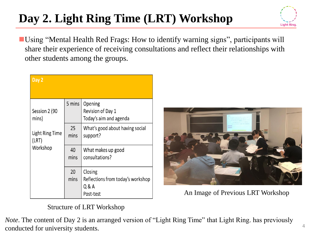# **Day 2. Light Ring Time (LRT) Workshop**

■ Using "Mental Health Red Frags: How to identify warning signs", participants will share their experience of receiving consultations and reflect their relationships with other students among the groups.

| Day 2                           |            |                                                                    |
|---------------------------------|------------|--------------------------------------------------------------------|
| Session 2 (90<br>mins)          | 5 mins     | Opening<br>Revision of Day 1<br>Today's aim and agenda             |
| <b>Light Ring Time</b><br>(LRT) | 25<br>mins | What's good about having social<br>support?                        |
| Workshop                        | 40<br>mins | What makes up good<br>consultations?                               |
|                                 | 20<br>mins | Closing<br>Reflections from today's workshop<br>Q & A<br>Post-test |



An Image of Previous LRT Workshop

## Structure of LRT Workshop

*Note*. The content of Day 2 is an arranged version of "Light Ring Time" that Light Ring. has previously conducted for university students.

**Light Rin**